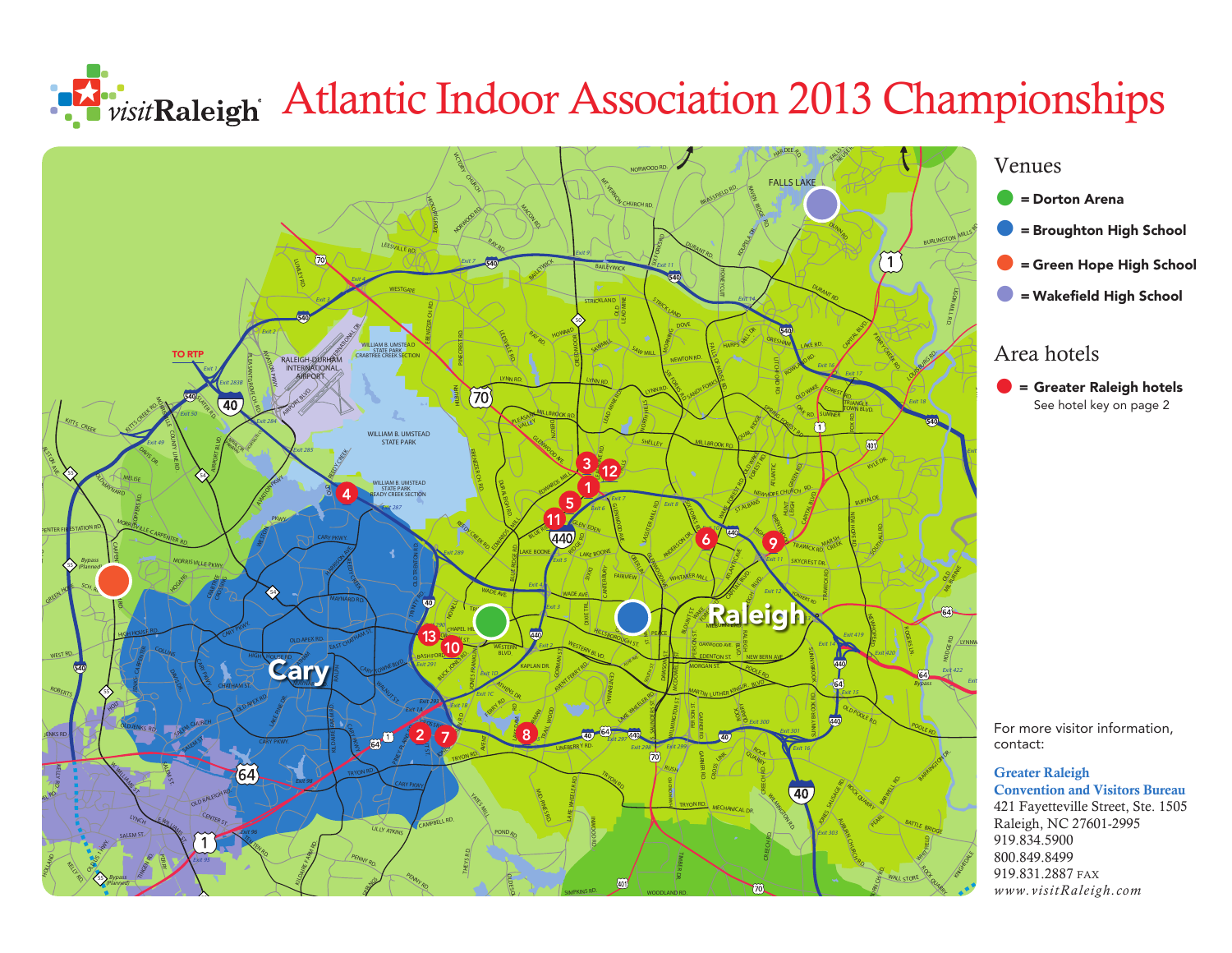## Atlantic Indoor Association 2013 Championships **Association 2013 Championships**



## Venues

- = Dorton Arena
- = Broughton High School
- $\bullet$  = Green Hope High School
	- = Wakefield High School

## Area hotels

**• Greater Raleigh hotels**<br>See hotel key on page 2 See hotel key on page 2 OLD MILBURNIE RD .  $\overline{a}$ 

For more visitor information, contact:

## Greater Raleigh **Convention and Visitors Bureau** l

421 Fayetteville Street, Ste. 1505 Raleigh, NC 27601-2995 919.834.5900 800.849.8499 919.834.5900<br>800.849.8499<br>919.831.2887 fax *www.visitRaleigh.com* BROWN